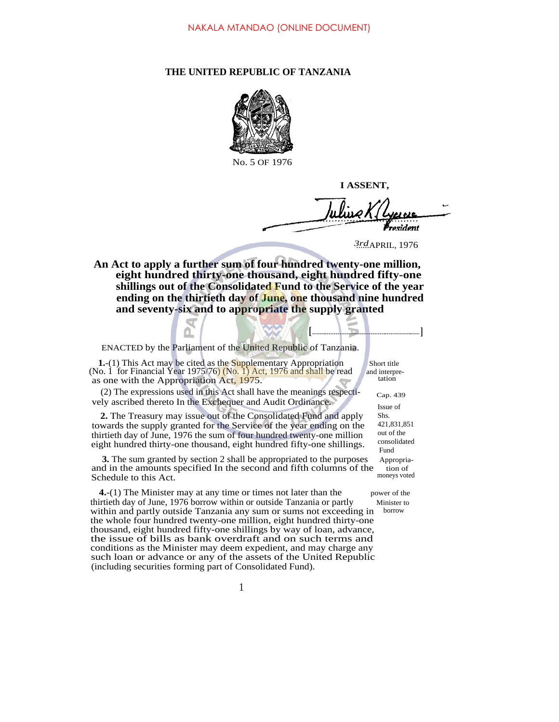## **THE UNITED REPUBLIC OF TANZANIA**



No. 5 OF 1976

**I ASSENT,**

**[ ]**

 $h$  line  $k$ resident

3rd<sub>APRIL</sub>, 1976

**An Act to apply a further sum of four hundred twenty-one million, eight hundred thirty-one thousand, eight hundred fifty-one shillings out of the Consolidated Fund to the Service of the year ending on the thirtieth day of June, one thousand nine hundred and seventy-six and to appropriate the supply granted**

ENACTED by the Parliament of the United Republic of Tanzania.

**1.**-(1) This Act may be cited as the Supplementary Appropriation Short title (No. 1 for Financial Year 1975/76) (No. 1) Act, 1976 and shall be read and interpreas one with the Appropriation Act, 1975.

(2) The expressions used in this Act shall have the meanings respecti- $_{\text{Can. 439}}$ vely ascribed thereto In the Exchequer and Audit Ordinance.

**2.** The Treasury may issue out of the Consolidated Fund and apply towards the supply granted for the Service of the year ending on the thirtieth day of June, 1976 the sum of four hundred twenty-one million eight hundred thirty-one thousand, eight hundred fifty-one shillings.

**3.** The sum granted by section 2 shall be appropriated to the purposes Appropriaand in the amounts specified In the second and fifth columns of the tion of Schedule to this Act Schedule to this Act.

**4.**-(1) The Minister may at any time or times not later than the power of the thirtieth day of June, 1976 borrow within or outside Tanzania or partly Minister to within and partly outside Tanzania any sum or sums not exceeding in borrow the whole four hundred twenty-one million, eight hundred thirty-one thousand, eight hundred fifty-one shillings by way of loan, advance, the issue of bills as bank overdraft and on such terms and conditions as the Minister may deem expedient, and may charge any such loan or advance or any of the assets of the United Republic (including securities forming part of Consolidated Fund).

Fund Issue of Shs. 421,831,851 out of the consolidated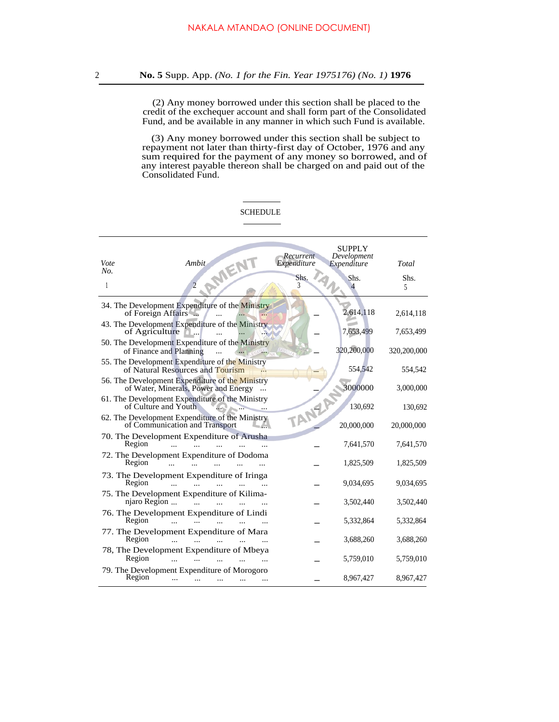(2) Any money borrowed under this section shall be placed to the credit of the exchequer account and shall form part of the Consolidated Fund, and be available in any manner in which such Fund is available.

(3) Any money borrowed under this section shall be subject to repayment not later than thirty-first day of October, 1976 and any sum required for the payment of any money so borrowed, and of any interest payable thereon shall be charged on and paid out of the Consolidated Fund.

## **SCHEDULE**

|                                                                                         | Recurrent   | SUPPLY<br>Development |             |
|-----------------------------------------------------------------------------------------|-------------|-----------------------|-------------|
| Ambit<br>Vote<br>No.                                                                    | Expenditure | Expenditure           | Total       |
| AMENT<br>$\overline{2}$<br>1                                                            | Shs.<br>3   | Shs.<br>4             | Shs.<br>5   |
| 34. The Development Expenditure of the Ministry<br>of Foreign Affairs                   |             | 2,614,118             | 2,614,118   |
| 43. The Development Expenditure of the Ministry<br>of Agriculture                       |             | 7,653,499             | 7,653,499   |
| 50. The Development Expenditure of the Ministry<br>of Finance and Planning              |             | 320,200,000           | 320,200,000 |
| 55. The Development Expenditure of the Ministry<br>of Natural Resources and Tourism     |             | 554,542               | 554,542     |
| 56. The Development Expenditure of the Ministry<br>of Water, Minerals, Power and Energy |             | 3000000               | 3,000,000   |
| 61. The Development Expenditure of the Ministry<br>of Culture and Youth                 | TANZA       | 130,692               | 130,692     |
| 62. The Development Expenditure of the Ministry<br>of Communication and Transport       |             | 20,000,000            | 20,000,000  |
| 70. The Development Expenditure of Arusha<br>Region                                     |             | 7,641,570             | 7,641,570   |
| 72. The Development Expenditure of Dodoma<br>Region                                     |             | 1,825,509             | 1,825,509   |
| 73. The Development Expenditure of Iringa<br>Region<br>$\ddotsc$                        |             | 9,034,695             | 9,034,695   |
| 75. The Development Expenditure of Kilima-<br>njaro Region<br>$\dddotsc$                |             | 3,502,440             | 3,502,440   |
| 76. The Development Expenditure of Lindi<br>Region<br>$\ddotsc$<br>$\sim$               |             | 5,332,864             | 5,332,864   |
| 77. The Development Expenditure of Mara<br>Region<br>$\dddotsc$                         |             | 3,688,260             | 3,688,260   |
| 78, The Development Expenditure of Mbeya<br>Region                                      |             | 5,759,010             | 5,759,010   |
| 79. The Development Expenditure of Morogoro<br>Region                                   |             | 8,967,427             | 8,967,427   |